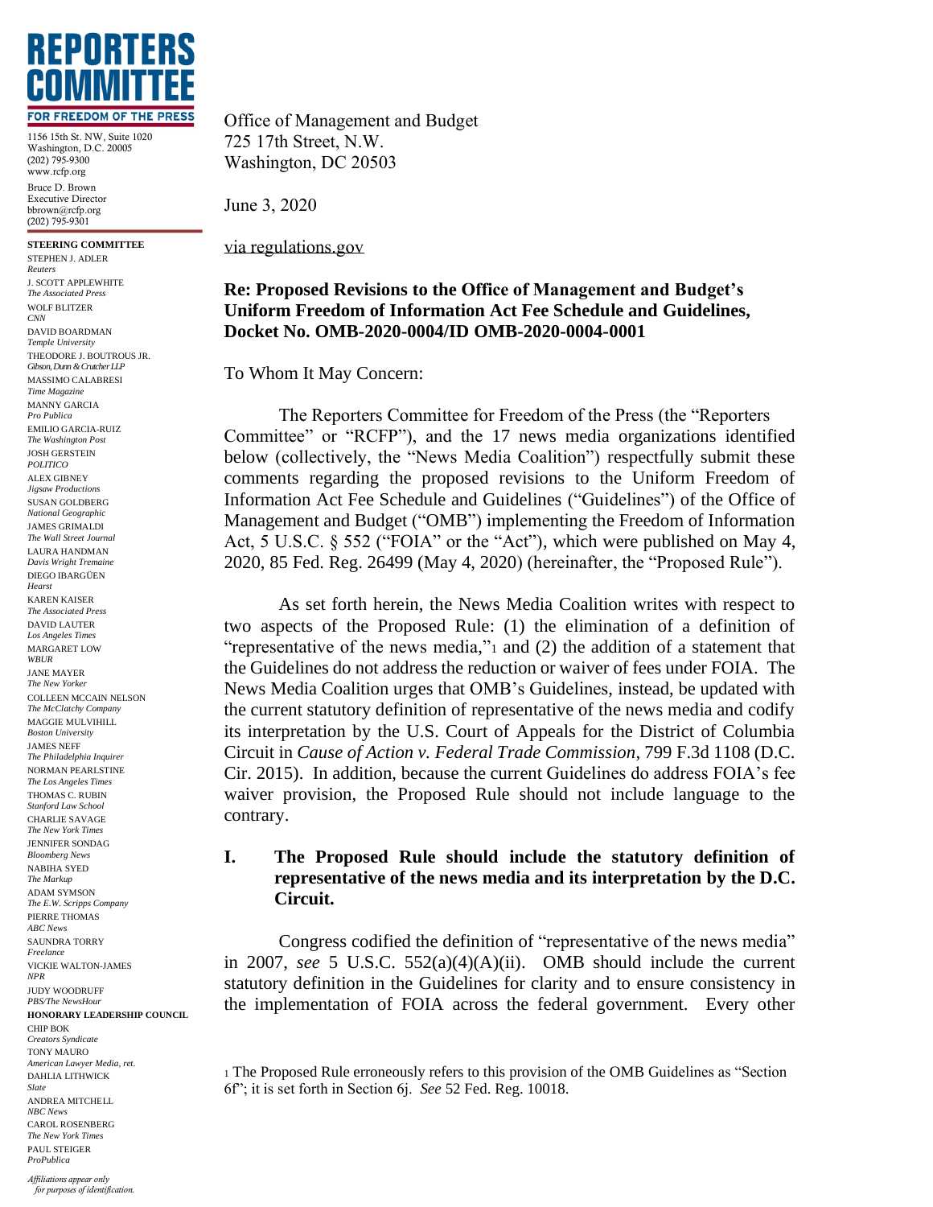

1156 15th St. NW, Suite 1020 Washington, D.C. 20005 (202) 795-9300 www.rcfp.org Bruce D. Brown Executive Director bbrown@rcfp.org (202) 795-9301

**STEERING COMMITTEE** STEPHEN J. ADLER *Reuters* J. SCOTT APPLEWHITE *The Associated Press* WOLF BLITZER *CNN* DAVID BOARDMAN *Temple University* THEODORE J. BOUTROUS JR. *Gibson, Dunn & Crutcher LLP* MASSIMO CALABRESI *Time Magazine* MANNY GARCIA *Pro Publica* EMILIO GARCIA-RUIZ *The Washington Post* JOSH GERSTEIN *POLITICO* ALEX GIBNEY *Jigsaw Productions* SUSAN GOLDBERG *National Geographic* JAMES GRIMALDI *The Wall Street Journal* LAURA HANDMAN *Davis Wright Tremaine* DIEGO IBARGÜEN *Hearst* KAREN KAISER *The Associated Press* DAVID LAUTER *Los Angeles Times* MARGARET LOW *WBUR* JANE MAYER *The New Yorker* COLLEEN MCCAIN NELSON *The McClatchy Company* MAGGIE MULVIHILL *Boston University* JAMES NEFF *The Philadelphia Inquirer* NORMAN PEARLSTINE *The Los Angeles Times* THOMAS C. RUBIN *Stanford Law School* CHARLIE SAVAGE *The New York Times* JENNIFER SONDAG *Bloomberg News* NABIHA SYED *The Markup* ADAM SYMSON *The E.W. Scripps Company* PIERRE THOMAS *ABC News* SAUNDRA TORRY *Freelance* VICKIE WALTON-JAMES *NPR* JUDY WOODRUFF *PBS/The NewsHour* **HONORARY LEADERSHIP COUNCIL** CHIP BOK *Creators Syndicate* TONY MAURO *American Lawyer Media, ret.* DAHLIA LITHWICK *Slate* ANDREA MITCHELL *NBC News* CAROL ROSENBERG *The New York Times* PAUL STEIGER *ProPublica*

*Affiliations appear only for purposes of identification.* Office of Management and Budget 725 17th Street, N.W. Washington, DC 20503

June 3, 2020

via regulations.gov

## **Re: Proposed Revisions to the Office of Management and Budget's Uniform Freedom of Information Act Fee Schedule and Guidelines, Docket No. OMB-2020-0004/ID OMB-2020-0004-0001**

To Whom It May Concern:

The Reporters Committee for Freedom of the Press (the "Reporters Committee" or "RCFP"), and the 17 news media organizations identified below (collectively, the "News Media Coalition") respectfully submit these comments regarding the proposed revisions to the Uniform Freedom of Information Act Fee Schedule and Guidelines ("Guidelines") of the Office of Management and Budget ("OMB") implementing the Freedom of Information Act, 5 U.S.C. § 552 ("FOIA" or the "Act"), which were published on May 4, 2020, 85 Fed. Reg. 26499 (May 4, 2020) (hereinafter, the "Proposed Rule").

As set forth herein, the News Media Coalition writes with respect to two aspects of the Proposed Rule: (1) the elimination of a definition of "representative of the news media,"<sup>1</sup> and (2) the addition of a statement that the Guidelines do not address the reduction or waiver of fees under FOIA. The News Media Coalition urges that OMB's Guidelines, instead, be updated with the current statutory definition of representative of the news media and codify its interpretation by the U.S. Court of Appeals for the District of Columbia Circuit in *Cause of Action v. Federal Trade Commission*, 799 F.3d 1108 (D.C. Cir. 2015). In addition, because the current Guidelines do address FOIA's fee waiver provision, the Proposed Rule should not include language to the contrary.

## **I. The Proposed Rule should include the statutory definition of representative of the news media and its interpretation by the D.C. Circuit.**

Congress codified the definition of "representative of the news media" in 2007, *see* 5 U.S.C. 552(a)(4)(A)(ii). OMB should include the current statutory definition in the Guidelines for clarity and to ensure consistency in the implementation of FOIA across the federal government. Every other

<sup>1</sup> The Proposed Rule erroneously refers to this provision of the OMB Guidelines as "Section 6f"; it is set forth in Section 6j. *See* 52 Fed. Reg. 10018.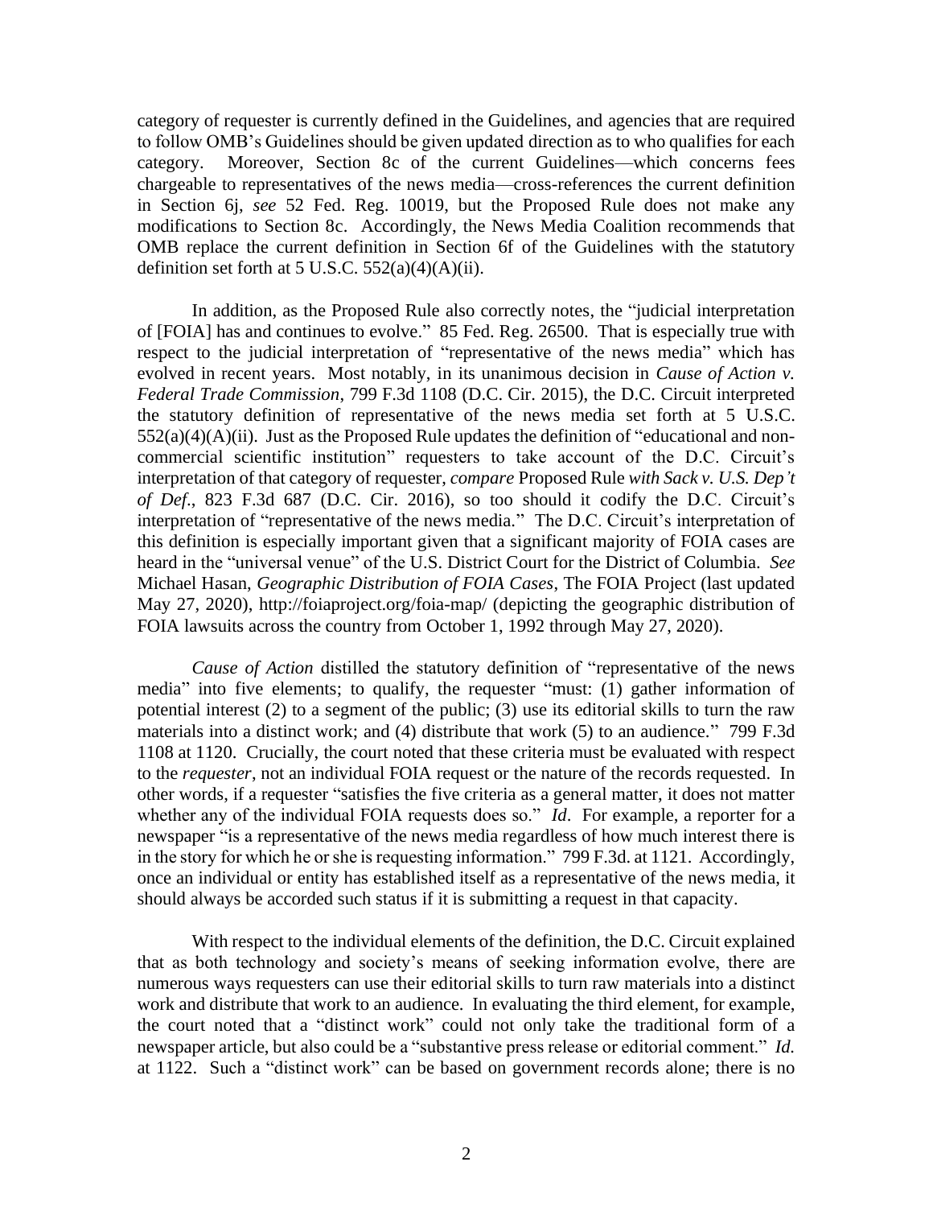category of requester is currently defined in the Guidelines, and agencies that are required to follow OMB's Guidelines should be given updated direction as to who qualifies for each category. Moreover, Section 8c of the current Guidelines—which concerns fees chargeable to representatives of the news media—cross-references the current definition in Section 6j, *see* 52 Fed. Reg. 10019, but the Proposed Rule does not make any modifications to Section 8c. Accordingly, the News Media Coalition recommends that OMB replace the current definition in Section 6f of the Guidelines with the statutory definition set forth at  $5$  U.S.C.  $552(a)(4)(A)(ii)$ .

In addition, as the Proposed Rule also correctly notes, the "judicial interpretation of [FOIA] has and continues to evolve." 85 Fed. Reg. 26500. That is especially true with respect to the judicial interpretation of "representative of the news media" which has evolved in recent years. Most notably, in its unanimous decision in *Cause of Action v. Federal Trade Commission*, 799 F.3d 1108 (D.C. Cir. 2015), the D.C. Circuit interpreted the statutory definition of representative of the news media set forth at 5 U.S.C.  $552(a)(4)(A)(ii)$ . Just as the Proposed Rule updates the definition of "educational and noncommercial scientific institution" requesters to take account of the D.C. Circuit's interpretation of that category of requester, *compare* Proposed Rule *with Sack v. U.S. Dep't of Def*., 823 F.3d 687 (D.C. Cir. 2016), so too should it codify the D.C. Circuit's interpretation of "representative of the news media." The D.C. Circuit's interpretation of this definition is especially important given that a significant majority of FOIA cases are heard in the "universal venue" of the U.S. District Court for the District of Columbia. *See*  Michael Hasan, *Geographic Distribution of FOIA Cases*, The FOIA Project (last updated May 27, 2020), http://foiaproject.org/foia-map/ (depicting the geographic distribution of FOIA lawsuits across the country from October 1, 1992 through May 27, 2020).

*Cause of Action* distilled the statutory definition of "representative of the news media" into five elements; to qualify, the requester "must: (1) gather information of potential interest (2) to a segment of the public; (3) use its editorial skills to turn the raw materials into a distinct work; and (4) distribute that work (5) to an audience." 799 F.3d 1108 at 1120. Crucially, the court noted that these criteria must be evaluated with respect to the *requester*, not an individual FOIA request or the nature of the records requested. In other words, if a requester "satisfies the five criteria as a general matter, it does not matter whether any of the individual FOIA requests does so." *Id*. For example, a reporter for a newspaper "is a representative of the news media regardless of how much interest there is in the story for which he or she is requesting information." 799 F.3d. at 1121. Accordingly, once an individual or entity has established itself as a representative of the news media, it should always be accorded such status if it is submitting a request in that capacity.

With respect to the individual elements of the definition, the D.C. Circuit explained that as both technology and society's means of seeking information evolve, there are numerous ways requesters can use their editorial skills to turn raw materials into a distinct work and distribute that work to an audience. In evaluating the third element, for example, the court noted that a "distinct work" could not only take the traditional form of a newspaper article, but also could be a "substantive press release or editorial comment." *Id.* at 1122. Such a "distinct work" can be based on government records alone; there is no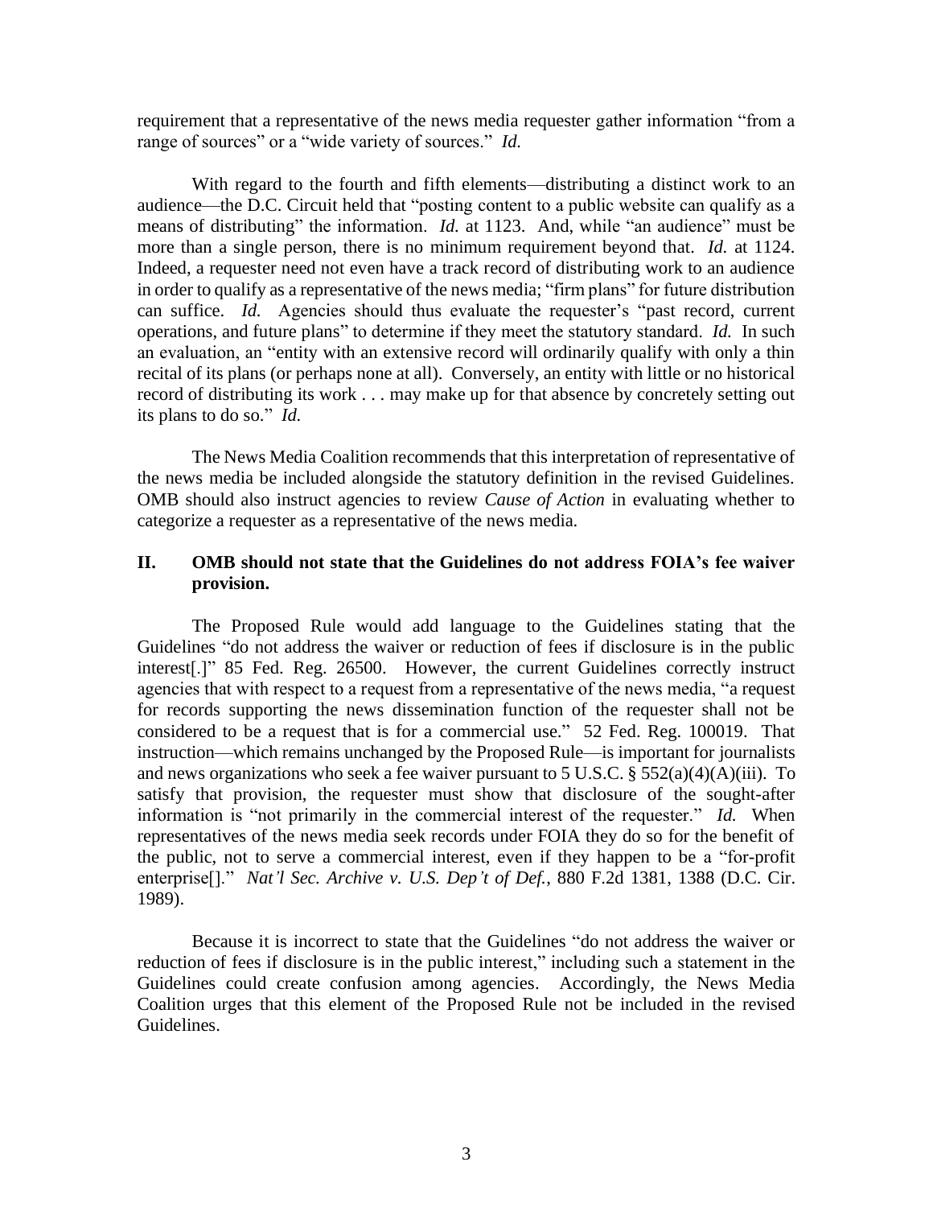requirement that a representative of the news media requester gather information "from a range of sources" or a "wide variety of sources." *Id.*

With regard to the fourth and fifth elements—distributing a distinct work to an audience—the D.C. Circuit held that "posting content to a public website can qualify as a means of distributing" the information. *Id.* at 1123. And, while "an audience" must be more than a single person, there is no minimum requirement beyond that. *Id.* at 1124. Indeed, a requester need not even have a track record of distributing work to an audience in order to qualify as a representative of the news media; "firm plans" for future distribution can suffice. *Id.* Agencies should thus evaluate the requester's "past record, current operations, and future plans" to determine if they meet the statutory standard. *Id.* In such an evaluation, an "entity with an extensive record will ordinarily qualify with only a thin recital of its plans (or perhaps none at all). Conversely, an entity with little or no historical record of distributing its work . . . may make up for that absence by concretely setting out its plans to do so." *Id.* 

The News Media Coalition recommends that this interpretation of representative of the news media be included alongside the statutory definition in the revised Guidelines. OMB should also instruct agencies to review *Cause of Action* in evaluating whether to categorize a requester as a representative of the news media.

## **II. OMB should not state that the Guidelines do not address FOIA's fee waiver provision.**

The Proposed Rule would add language to the Guidelines stating that the Guidelines "do not address the waiver or reduction of fees if disclosure is in the public interest[.]" 85 Fed. Reg. 26500. However, the current Guidelines correctly instruct agencies that with respect to a request from a representative of the news media, "a request for records supporting the news dissemination function of the requester shall not be considered to be a request that is for a commercial use." 52 Fed. Reg. 100019. That instruction—which remains unchanged by the Proposed Rule—is important for journalists and news organizations who seek a fee waiver pursuant to 5 U.S.C. §  $552(a)(4)(A)(iii)$ . To satisfy that provision, the requester must show that disclosure of the sought-after information is "not primarily in the commercial interest of the requester." *Id.* When representatives of the news media seek records under FOIA they do so for the benefit of the public, not to serve a commercial interest, even if they happen to be a "for-profit enterprise[]." *Nat'l Sec. Archive v. U.S. Dep't of Def.*, 880 F.2d 1381, 1388 (D.C. Cir. 1989).

Because it is incorrect to state that the Guidelines "do not address the waiver or reduction of fees if disclosure is in the public interest," including such a statement in the Guidelines could create confusion among agencies. Accordingly, the News Media Coalition urges that this element of the Proposed Rule not be included in the revised Guidelines.